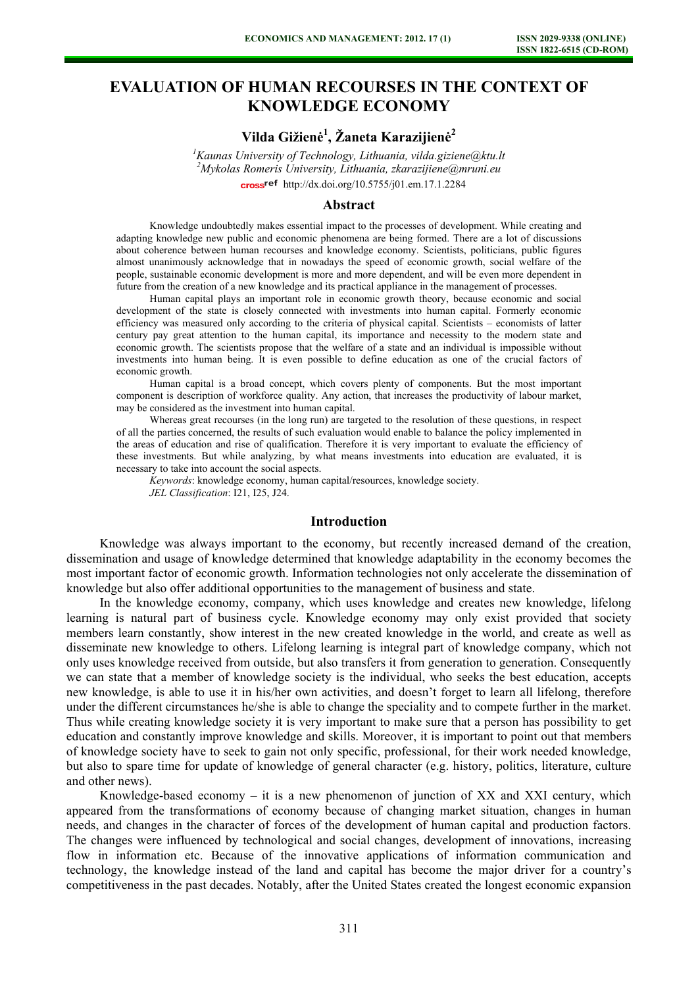# **EVALUATION OF HUMAN RECOURSES IN THE CONTEXT OF KNOWLEDGE ECONOMY**

## **Vilda Gižienė 1 , Žaneta Karazijienė 2**

*1 Kaunas University of Technology, Lithuania, vilda.giziene@ktu.lt 2 Mykolas Romeris University, Lithuania, zkarazijiene@mruni.eu*  [http://dx.doi.org/10.5755/j01.e](http://dx.doi.org/10.5755/j01.em.17.1.2284)m.17.1.2284

#### **Abstract**

Knowledge undoubtedly makes essential impact to the processes of development. While creating and adapting knowledge new public and economic phenomena are being formed. There are a lot of discussions about coherence between human recourses and knowledge economy. Scientists, politicians, public figures almost unanimously acknowledge that in nowadays the speed of economic growth, social welfare of the people, sustainable economic development is more and more dependent, and will be even more dependent in future from the creation of a new knowledge and its practical appliance in the management of processes.

Human capital plays an important role in economic growth theory, because economic and social development of the state is closely connected with investments into human capital. Formerly economic efficiency was measured only according to the criteria of physical capital. Scientists – economists of latter century pay great attention to the human capital, its importance and necessity to the modern state and economic growth. The scientists propose that the welfare of a state and an individual is impossible without investments into human being. It is even possible to define education as one of the crucial factors of economic growth.

Human capital is a broad concept, which covers plenty of components. But the most important component is description of workforce quality. Any action, that increases the productivity of labour market, may be considered as the investment into human capital.

Whereas great recourses (in the long run) are targeted to the resolution of these questions, in respect of all the parties concerned, the results of such evaluation would enable to balance the policy implemented in the areas of education and rise of qualification. Therefore it is very important to evaluate the efficiency of these investments. But while analyzing, by what means investments into education are evaluated, it is necessary to take into account the social aspects.

*Keywords*: knowledge economy, human capital/resources, knowledge society. *JEL Classification*: I21, I25, J24.

## **Introduction**

Knowledge was always important to the economy, but recently increased demand of the creation, dissemination and usage of knowledge determined that knowledge adaptability in the economy becomes the most important factor of economic growth. Information technologies not only accelerate the dissemination of knowledge but also offer additional opportunities to the management of business and state.

In the knowledge economy, company, which uses knowledge and creates new knowledge, lifelong learning is natural part of business cycle. Knowledge economy may only exist provided that society members learn constantly, show interest in the new created knowledge in the world, and create as well as disseminate new knowledge to others. Lifelong learning is integral part of knowledge company, which not only uses knowledge received from outside, but also transfers it from generation to generation. Consequently we can state that a member of knowledge society is the individual, who seeks the best education, accepts new knowledge, is able to use it in his/her own activities, and doesn't forget to learn all lifelong, therefore under the different circumstances he/she is able to change the speciality and to compete further in the market. Thus while creating knowledge society it is very important to make sure that a person has possibility to get education and constantly improve knowledge and skills. Moreover, it is important to point out that members of knowledge society have to seek to gain not only specific, professional, for their work needed knowledge, but also to spare time for update of knowledge of general character (e.g. history, politics, literature, culture and other news).

Knowledge-based economy  $-$  it is a new phenomenon of junction of XX and XXI century, which appeared from the transformations of economy because of changing market situation, changes in human needs, and changes in the character of forces of the development of human capital and production factors. The changes were influenced by technological and social changes, development of innovations, increasing flow in information etc. Because of the innovative applications of information communication and technology, the knowledge instead of the land and capital has become the major driver for a country's competitiveness in the past decades. Notably, after the United States created the longest economic expansion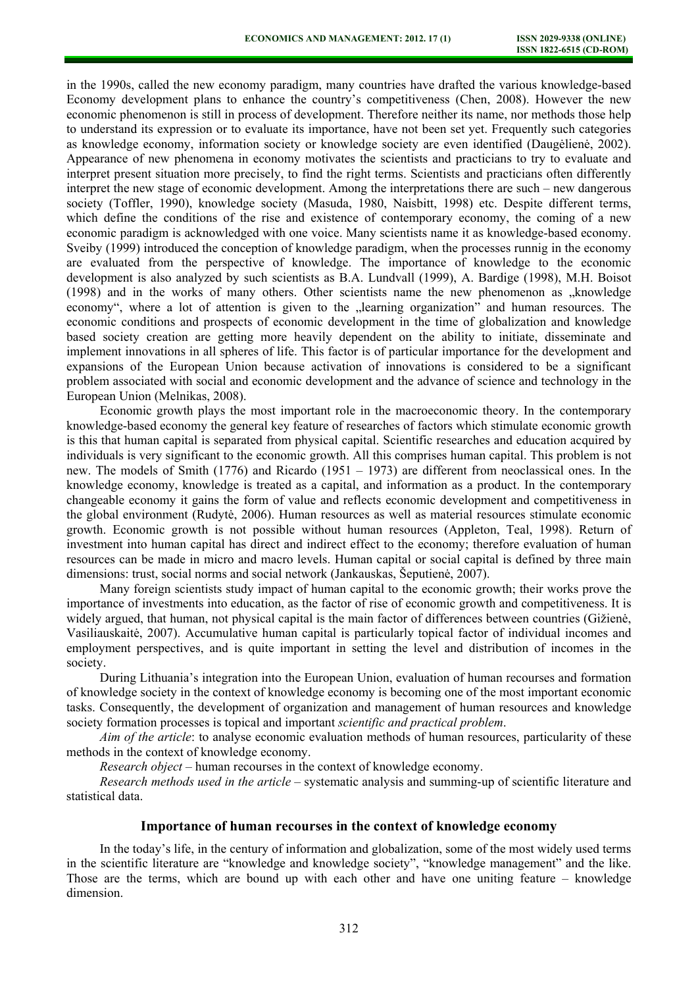in the 1990s, called the new economy paradigm, many countries have drafted the various knowledge-based Economy development plans to enhance the country's competitiveness (Chen, 2008). However the new economic phenomenon is still in process of development. Therefore neither its name, nor methods those help to understand its expression or to evaluate its importance, have not been set yet. Frequently such categories as knowledge economy, information society or knowledge society are even identified (Daugėlienė, 2002). Appearance of new phenomena in economy motivates the scientists and practicians to try to evaluate and interpret present situation more precisely, to find the right terms. Scientists and practicians often differently interpret the new stage of economic development. Among the interpretations there are such – new dangerous society (Toffler, 1990), knowledge society (Masuda, 1980, Naisbitt, 1998) etc. Despite different terms, which define the conditions of the rise and existence of contemporary economy, the coming of a new economic paradigm is acknowledged with one voice. Many scientists name it as knowledge-based economy. Sveiby (1999) introduced the conception of knowledge paradigm, when the processes runnig in the economy are evaluated from the perspective of knowledge. The importance of knowledge to the economic development is also analyzed by such scientists as B.A. Lundvall (1999), A. Bardige (1998), M.H. Boisot (1998) and in the works of many others. Other scientists name the new phenomenon as "knowledge economy", where a lot of attention is given to the "learning organization" and human resources. The economic conditions and prospects of economic development in the time of globalization and knowledge based society creation are getting more heavily dependent on the ability to initiate, disseminate and implement innovations in all spheres of life. This factor is of particular importance for the development and expansions of the European Union because activation of innovations is considered to be a significant problem associated with social and economic development and the advance of science and technology in the European Union (Melnikas, 2008).

Economic growth plays the most important role in the macroeconomic theory. In the contemporary knowledge-based economy the general key feature of researches of factors which stimulate economic growth is this that human capital is separated from physical capital. Scientific researches and education acquired by individuals is very significant to the economic growth. All this comprises human capital. This problem is not new. The models of Smith (1776) and Ricardo (1951 – 1973) are different from neoclassical ones. In the knowledge economy, knowledge is treated as a capital, and information as a product. In the contemporary changeable economy it gains the form of value and reflects economic development and competitiveness in the global environment (Rudytė, 2006). Human resources as well as material resources stimulate economic growth. Economic growth is not possible without human resources (Appleton, Teal, 1998). Return of investment into human capital has direct and indirect effect to the economy; therefore evaluation of human resources can be made in micro and macro levels. Human capital or social capital is defined by three main dimensions: trust, social norms and social network (Jankauskas, Šeputienė, 2007).

Many foreign scientists study impact of human capital to the economic growth; their works prove the importance of investments into education, as the factor of rise of economic growth and competitiveness. It is widely argued, that human, not physical capital is the main factor of differences between countries (Gižienė, Vasiliauskaitė, 2007). Accumulative human capital is particularly topical factor of individual incomes and employment perspectives, and is quite important in setting the level and distribution of incomes in the society.

During Lithuania's integration into the European Union, evaluation of human recourses and formation of knowledge society in the context of knowledge economy is becoming one of the most important economic tasks. Consequently, the development of organization and management of human resources and knowledge society formation processes is topical and important *scientific and practical problem*.

*Aim of the article*: to analyse economic evaluation methods of human resources, particularity of these methods in the context of knowledge economy.

*Research object* – human recourses in the context of knowledge economy.

*Research methods used in the article* – systematic analysis and summing-up of scientific literature and statistical data.

#### **Importance of human recourses in the context of knowledge economy**

In the today's life, in the century of information and globalization, some of the most widely used terms in the scientific literature are "knowledge and knowledge society", "knowledge management" and the like. Those are the terms, which are bound up with each other and have one uniting feature – knowledge dimension.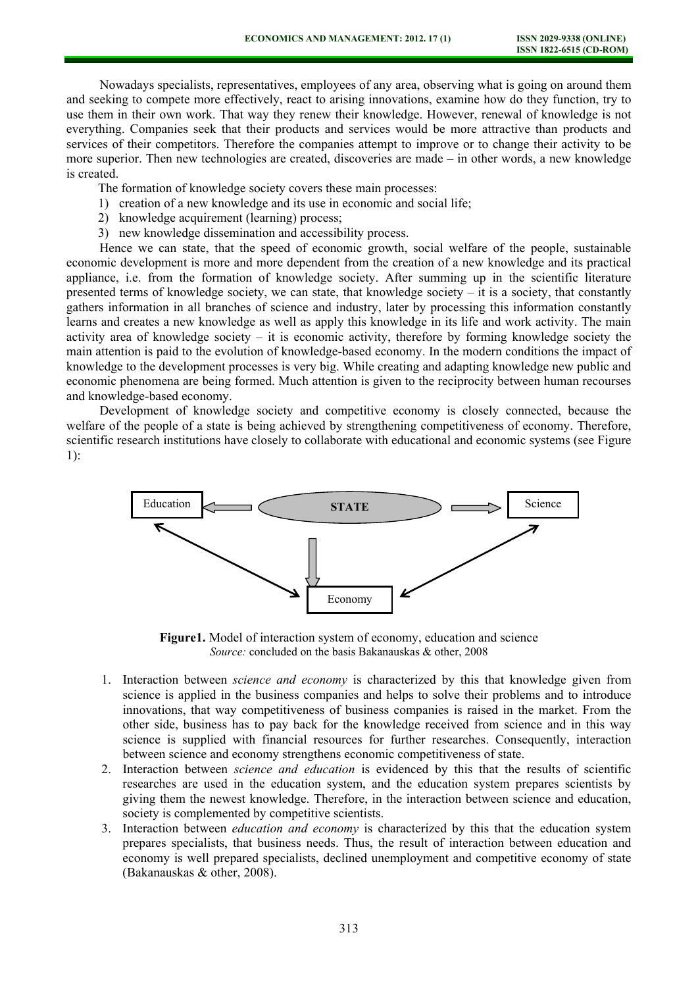Nowadays specialists, representatives, employees of any area, observing what is going on around them and seeking to compete more effectively, react to arising innovations, examine how do they function, try to use them in their own work. That way they renew their knowledge. However, renewal of knowledge is not everything. Companies seek that their products and services would be more attractive than products and services of their competitors. Therefore the companies attempt to improve or to change their activity to be more superior. Then new technologies are created, discoveries are made – in other words, a new knowledge is created.

The formation of knowledge society covers these main processes:

- 1) creation of a new knowledge and its use in economic and social life;
- 2) knowledge acquirement (learning) process;
- 3) new knowledge dissemination and accessibility process.

Hence we can state, that the speed of economic growth, social welfare of the people, sustainable economic development is more and more dependent from the creation of a new knowledge and its practical appliance, i.e. from the formation of knowledge society. After summing up in the scientific literature presented terms of knowledge society, we can state, that knowledge society – it is a society, that constantly gathers information in all branches of science and industry, later by processing this information constantly learns and creates a new knowledge as well as apply this knowledge in its life and work activity. The main activity area of knowledge society – it is economic activity, therefore by forming knowledge society the main attention is paid to the evolution of knowledge-based economy. In the modern conditions the impact of knowledge to the development processes is very big. While creating and adapting knowledge new public and economic phenomena are being formed. Much attention is given to the reciprocity between human recourses and knowledge-based economy.

Development of knowledge society and competitive economy is closely connected, because the welfare of the people of a state is being achieved by strengthening competitiveness of economy. Therefore, scientific research institutions have closely to collaborate with educational and economic systems (see Figure 1):



**Figure1.** Model of interaction system of economy, education and science *Source:* concluded on the basis Bakanauskas & other, 2008

- 1. Interaction between *science and economy* is characterized by this that knowledge given from science is applied in the business companies and helps to solve their problems and to introduce innovations, that way competitiveness of business companies is raised in the market. From the other side, business has to pay back for the knowledge received from science and in this way science is supplied with financial resources for further researches. Consequently, interaction between science and economy strengthens economic competitiveness of state.
- 2. Interaction between *science and education* is evidenced by this that the results of scientific researches are used in the education system, and the education system prepares scientists by giving them the newest knowledge. Therefore, in the interaction between science and education, society is complemented by competitive scientists.
- 3. Interaction between *education and economy* is characterized by this that the education system prepares specialists, that business needs. Thus, the result of interaction between education and economy is well prepared specialists, declined unemployment and competitive economy of state (Bakanauskas & other, 2008).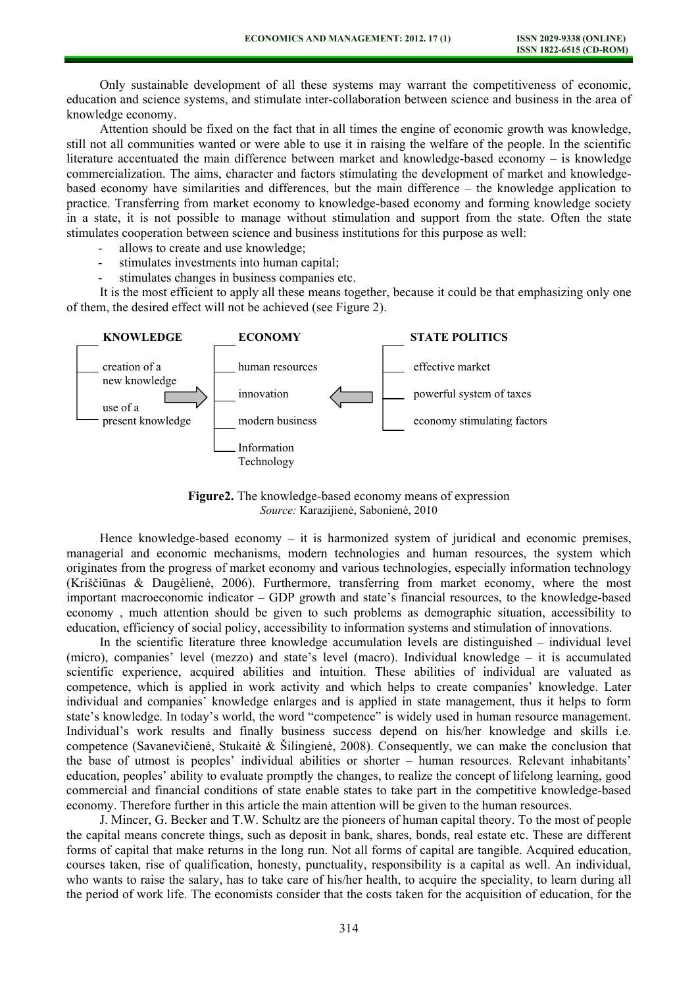Only sustainable development of all these systems may warrant the competitiveness of economic, education and science systems, and stimulate inter-collaboration between science and business in the area of knowledge economy.

Attention should be fixed on the fact that in all times the engine of economic growth was knowledge, still not all communities wanted or were able to use it in raising the welfare of the people. In the scientific literature accentuated the main difference between market and knowledge-based economy – is knowledge commercialization. The aims, character and factors stimulating the development of market and knowledgebased economy have similarities and differences, but the main difference – the knowledge application to practice. Transferring from market economy to knowledge-based economy and forming knowledge society in a state, it is not possible to manage without stimulation and support from the state. Often the state stimulates cooperation between science and business institutions for this purpose as well:

- allows to create and use knowledge;
- stimulates investments into human capital;
- stimulates changes in business companies etc.

It is the most efficient to apply all these means together, because it could be that emphasizing only one of them, the desired effect will not be achieved (see Figure 2).



**Figure2.** The knowledge-based economy means of expression *Source:* Karazijienė, Sabonienė, 2010

Hence knowledge-based economy – it is harmonized system of juridical and economic premises, managerial and economic mechanisms, modern technologies and human resources, the system which originates from the progress of market economy and various technologies, especially information technology (Kriščiūnas & Daugėlienė, 2006). Furthermore, transferring from market economy, where the most important macroeconomic indicator – GDP growth and state's financial resources, to the knowledge-based economy , much attention should be given to such problems as demographic situation, accessibility to education, efficiency of social policy, accessibility to information systems and stimulation of innovations.

In the scientific literature three knowledge accumulation levels are distinguished – individual level (micro), companies' level (mezzo) and state's level (macro). Individual knowledge – it is accumulated scientific experience, acquired abilities and intuition. These abilities of individual are valuated as competence, which is applied in work activity and which helps to create companies' knowledge. Later individual and companies' knowledge enlarges and is applied in state management, thus it helps to form state's knowledge. In today's world, the word "competence" is widely used in human resource management. Individual's work results and finally business success depend on his/her knowledge and skills i.e. competence (Savanevičienė, Stukaitė & Šilingienė, 2008). Consequently, we can make the conclusion that the base of utmost is peoples' individual abilities or shorter – human resources. Relevant inhabitants' education, peoples' ability to evaluate promptly the changes, to realize the concept of lifelong learning, good commercial and financial conditions of state enable states to take part in the competitive knowledge-based economy. Therefore further in this article the main attention will be given to the human resources.

J. Mincer, G. Becker and T.W. Schultz are the pioneers of human capital theory. To the most of people the capital means concrete things, such as deposit in bank, shares, bonds, real estate etc. These are different forms of capital that make returns in the long run. Not all forms of capital are tangible. Acquired education, courses taken, rise of qualification, honesty, punctuality, responsibility is a capital as well. An individual, who wants to raise the salary, has to take care of his/her health, to acquire the speciality, to learn during all the period of work life. The economists consider that the costs taken for the acquisition of education, for the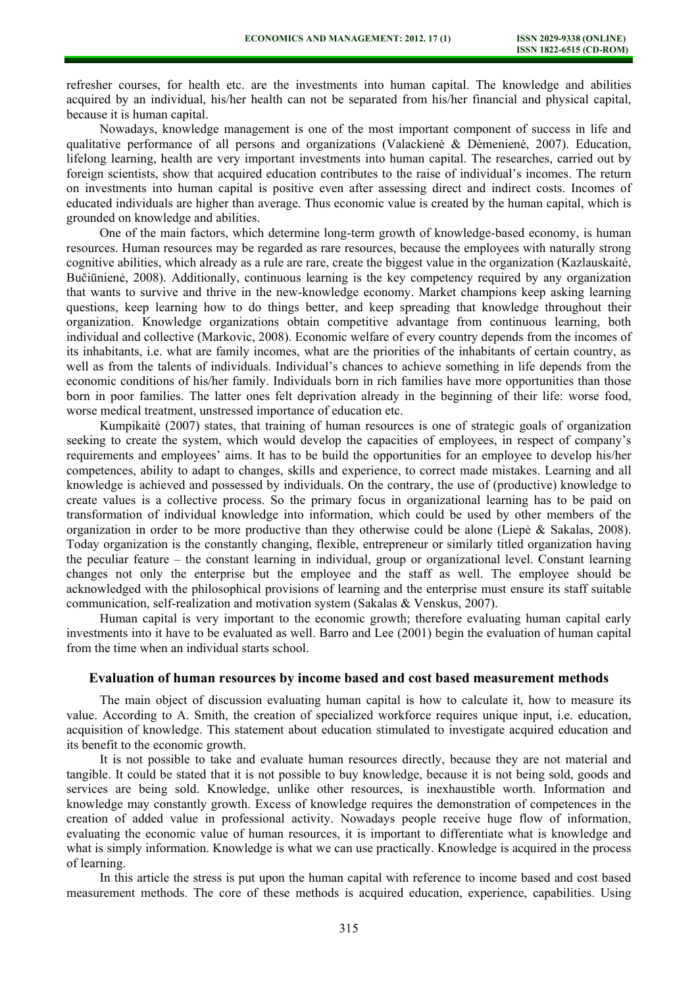refresher courses, for health etc. are the investments into human capital. The knowledge and abilities acquired by an individual, his/her health can not be separated from his/her financial and physical capital, because it is human capital.

Nowadays, knowledge management is one of the most important component of success in life and qualitative performance of all persons and organizations (Valackienė & Dėmenienė, 2007). Education, lifelong learning, health are very important investments into human capital. The researches, carried out by foreign scientists, show that acquired education contributes to the raise of individual's incomes. The return on investments into human capital is positive even after assessing direct and indirect costs. Incomes of educated individuals are higher than average. Thus economic value is created by the human capital, which is grounded on knowledge and abilities.

One of the main factors, which determine long-term growth of knowledge-based economy, is human resources. Human resources may be regarded as rare resources, because the employees with naturally strong cognitive abilities, which already as a rule are rare, create the biggest value in the organization (Kazlauskaitė, Bučiūnienė, 2008). Additionally, continuous learning is the key competency required by any organization that wants to survive and thrive in the new-knowledge economy. Market champions keep asking learning questions, keep learning how to do things better, and keep spreading that knowledge throughout their organization. Knowledge organizations obtain competitive advantage from continuous learning, both individual and collective (Markovic, 2008). Economic welfare of every country depends from the incomes of its inhabitants, i.e. what are family incomes, what are the priorities of the inhabitants of certain country, as well as from the talents of individuals. Individual's chances to achieve something in life depends from the economic conditions of his/her family. Individuals born in rich families have more opportunities than those born in poor families. The latter ones felt deprivation already in the beginning of their life: worse food, worse medical treatment, unstressed importance of education etc.

Kumpikaitė (2007) states, that training of human resources is one of strategic goals of organization seeking to create the system, which would develop the capacities of employees, in respect of company's requirements and employees' aims. It has to be build the opportunities for an employee to develop his/her competences, ability to adapt to changes, skills and experience, to correct made mistakes. Learning and all knowledge is achieved and possessed by individuals. On the contrary, the use of (productive) knowledge to create values is a collective process. So the primary focus in organizational learning has to be paid on transformation of individual knowledge into information, which could be used by other members of the organization in order to be more productive than they otherwise could be alone (Liepė & Sakalas, 2008). Today organization is the constantly changing, flexible, entrepreneur or similarly titled organization having the peculiar feature – the constant learning in individual, group or organizational level. Constant learning changes not only the enterprise but the employee and the staff as well. The employee should be acknowledged with the philosophical provisions of learning and the enterprise must ensure its staff suitable communication, self-realization and motivation system (Sakalas & Venskus, 2007).

Human capital is very important to the economic growth; therefore evaluating human capital early investments into it have to be evaluated as well. Barro and Lee (2001) begin the evaluation of human capital from the time when an individual starts school.

## **Evaluation of human resources by income based and cost based measurement methods**

The main object of discussion evaluating human capital is how to calculate it, how to measure its value. According to A. Smith, the creation of specialized workforce requires unique input, i.e. education, acquisition of knowledge. This statement about education stimulated to investigate acquired education and its benefit to the economic growth.

It is not possible to take and evaluate human resources directly, because they are not material and tangible. It could be stated that it is not possible to buy knowledge, because it is not being sold, goods and services are being sold. Knowledge, unlike other resources, is inexhaustible worth. Information and knowledge may constantly growth. Excess of knowledge requires the demonstration of competences in the creation of added value in professional activity. Nowadays people receive huge flow of information, evaluating the economic value of human resources, it is important to differentiate what is knowledge and what is simply information. Knowledge is what we can use practically. Knowledge is acquired in the process of learning.

In this article the stress is put upon the human capital with reference to income based and cost based measurement methods. The core of these methods is acquired education, experience, capabilities. Using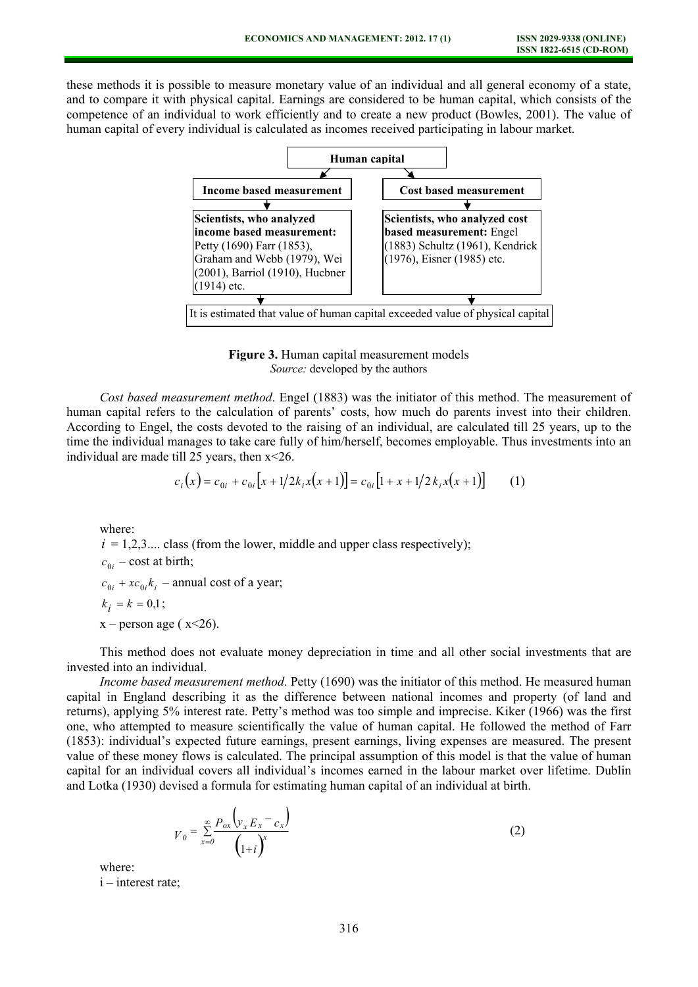these methods it is possible to measure monetary value of an individual and all general economy of a state, and to compare it with physical capital. Earnings are considered to be human capital, which consists of the competence of an individual to work efficiently and to create a new product (Bowles, 2001). The value of human capital of every individual is calculated as incomes received participating in labour market.



**Figure 3.** Human capital measurement models *Source:* developed by the authors

*Cost based measurement method*. Engel (1883) was the initiator of this method. The measurement of human capital refers to the calculation of parents' costs, how much do parents invest into their children. According to Engel, the costs devoted to the raising of an individual, are calculated till 25 years, up to the time the individual manages to take care fully of him/herself, becomes employable. Thus investments into an individual are made till 25 years, then x<26.

$$
c_i(x) = c_{0i} + c_{0i} \left[ x + 1/2k_i x(x+1) \right] = c_{0i} \left[ 1 + x + 1/2k_i x(x+1) \right] \tag{1}
$$

where:

 $i = 1,2,3...$  class (from the lower, middle and upper class respectively);  $c_{0i}$  – cost at birth;

 $c_{0i}$  +  $xc_{0i}$  $k_i$  – annual cost of a year;

$$
k_{i}=k=0{,}1\,;
$$

 $x$  – person age ( $x$  < 26).

This method does not evaluate money depreciation in time and all other social investments that are invested into an individual.

*Income based measurement method*. Petty (1690) was the initiator of this method. He measured human capital in England describing it as the difference between national incomes and property (of land and returns), applying 5% interest rate. Petty's method was too simple and imprecise. Kiker (1966) was the first one, who attempted to measure scientifically the value of human capital. He followed the method of Farr (1853): individual's expected future earnings, present earnings, living expenses are measured. The present value of these money flows is calculated. The principal assumption of this model is that the value of human capital for an individual covers all individual's incomes earned in the labour market over lifetime. Dublin and Lotka (1930) devised a formula for estimating human capital of an individual at birth.

$$
V_0 = \sum_{x=0}^{\infty} \frac{P_{ox} \left( y_x E_x - c_x \right)}{\left( 1 + i \right)^x}
$$
 (2)

where:

i – interest rate;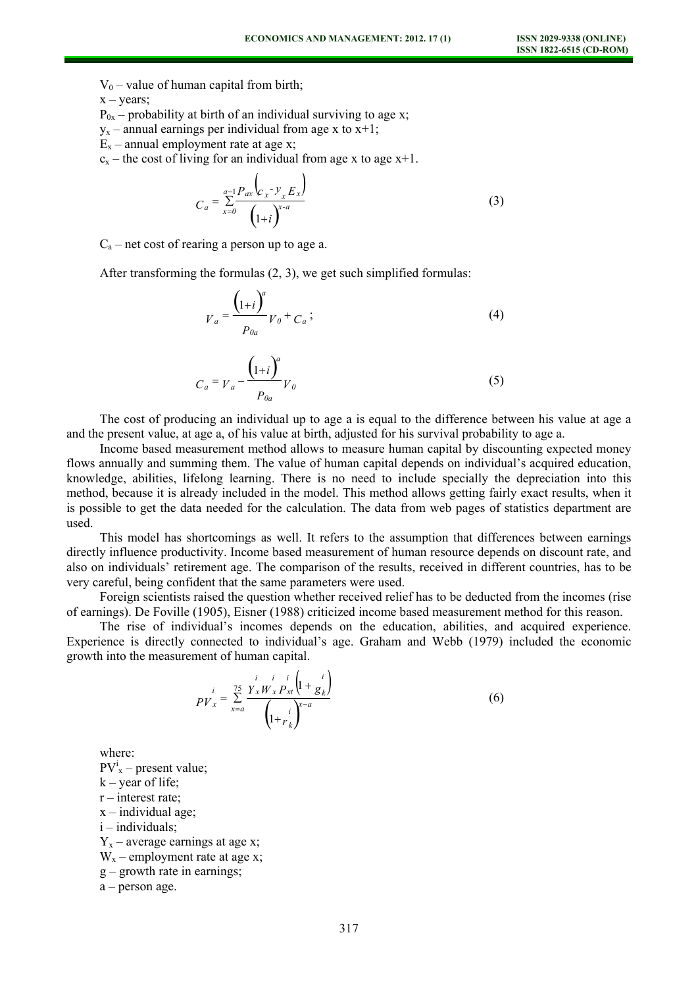$V_0$  – value of human capital from birth;

 $x - \text{years}$ :

 $P_{0x}$  – probability at birth of an individual surviving to age x;

 $y_x$  – annual earnings per individual from age x to x+1;

- $E_x$  annual employment rate at age x;
- $c_x$  the cost of living for an individual from age x to age  $x+1$ .

$$
C_a = \sum_{x=0}^{a-1} \frac{P_{ax} \left( C_x - y_x E_x \right)}{\left( 1 + i \right)^{x-a}}
$$
(3)

 $C_a$  – net cost of rearing a person up to age a.

After transforming the formulas (2, 3), we get such simplified formulas:

$$
V_a = \frac{\left(1+i\right)^a}{P_{0a}} V_0 + C_a ; \tag{4}
$$

$$
C_a = V_a - \frac{\left(1+i\right)^a}{P_{0a}} V_0 \tag{5}
$$

The cost of producing an individual up to age a is equal to the difference between his value at age a and the present value, at age a, of his value at birth, adjusted for his survival probability to age a.

Income based measurement method allows to measure human capital by discounting expected money flows annually and summing them. The value of human capital depends on individual's acquired education, knowledge, abilities, lifelong learning. There is no need to include specially the depreciation into this method, because it is already included in the model. This method allows getting fairly exact results, when it is possible to get the data needed for the calculation. The data from web pages of statistics department are used.

This model has shortcomings as well. It refers to the assumption that differences between earnings directly influence productivity. Income based measurement of human resource depends on discount rate, and also on individuals' retirement age. The comparison of the results, received in different countries, has to be very careful, being confident that the same parameters were used.

Foreign scientists raised the question whether received relief has to be deducted from the incomes (rise of earnings). De Foville (1905), Eisner (1988) criticized income based measurement method for this reason.

The rise of individual's incomes depends on the education, abilities, and acquired experience. Experience is directly connected to individual's age. Graham and Webb (1979) included the economic growth into the measurement of human capital.

$$
PV_{x}^{i} = \sum_{x=a}^{75} \frac{Y_{x}W_{x}P_{xt}\left(1 + \frac{i}{g_{k}}\right)}{\left(1 + r_{k}\right)^{x-a}}
$$
(6)

where:

 $PV_{x}^{i}$  – present value;  $k$  – year of life;  $r$  – interest rate;  $x$  – individual age; i – individuals;  $Y_x$  – average earnings at age x;  $W_x$  – employment rate at age x; g – growth rate in earnings;

a – person age.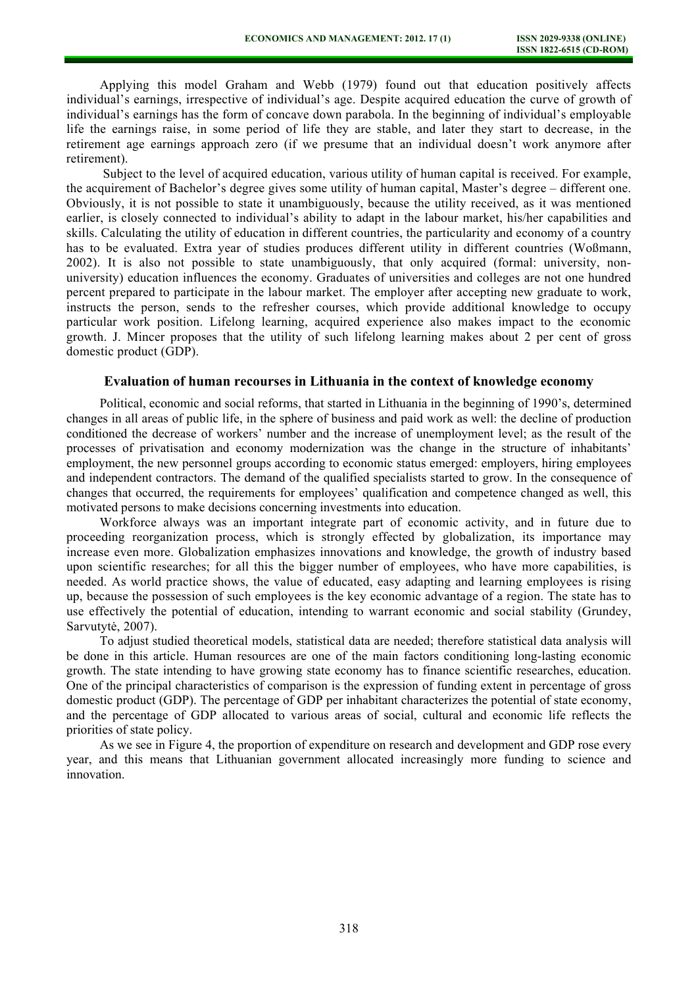Applying this model Graham and Webb (1979) found out that education positively affects individual's earnings, irrespective of individual's age. Despite acquired education the curve of growth of individual's earnings has the form of concave down parabola. In the beginning of individual's employable life the earnings raise, in some period of life they are stable, and later they start to decrease, in the retirement age earnings approach zero (if we presume that an individual doesn't work anymore after retirement).

 Subject to the level of acquired education, various utility of human capital is received. For example, the acquirement of Bachelor's degree gives some utility of human capital, Master's degree – different one. Obviously, it is not possible to state it unambiguously, because the utility received, as it was mentioned earlier, is closely connected to individual's ability to adapt in the labour market, his/her capabilities and skills. Calculating the utility of education in different countries, the particularity and economy of a country has to be evaluated. Extra year of studies produces different utility in different countries (Woßmann, 2002). It is also not possible to state unambiguously, that only acquired (formal: university, nonuniversity) education influences the economy. Graduates of universities and colleges are not one hundred percent prepared to participate in the labour market. The employer after accepting new graduate to work, instructs the person, sends to the refresher courses, which provide additional knowledge to occupy particular work position. Lifelong learning, acquired experience also makes impact to the economic growth. J. Mincer proposes that the utility of such lifelong learning makes about 2 per cent of gross domestic product (GDP).

## **Evaluation of human recourses in Lithuania in the context of knowledge economy**

Political, economic and social reforms, that started in Lithuania in the beginning of 1990's, determined changes in all areas of public life, in the sphere of business and paid work as well: the decline of production conditioned the decrease of workers' number and the increase of unemployment level; as the result of the processes of privatisation and economy modernization was the change in the structure of inhabitants' employment, the new personnel groups according to economic status emerged: employers, hiring employees and independent contractors. The demand of the qualified specialists started to grow. In the consequence of changes that occurred, the requirements for employees' qualification and competence changed as well, this motivated persons to make decisions concerning investments into education.

Workforce always was an important integrate part of economic activity, and in future due to proceeding reorganization process, which is strongly effected by globalization, its importance may increase even more. Globalization emphasizes innovations and knowledge, the growth of industry based upon scientific researches; for all this the bigger number of employees, who have more capabilities, is needed. As world practice shows, the value of educated, easy adapting and learning employees is rising up, because the possession of such employees is the key economic advantage of a region. The state has to use effectively the potential of education, intending to warrant economic and social stability (Grundey, Sarvutytė, 2007).

To adjust studied theoretical models, statistical data are needed; therefore statistical data analysis will be done in this article. Human resources are one of the main factors conditioning long-lasting economic growth. The state intending to have growing state economy has to finance scientific researches, education. One of the principal characteristics of comparison is the expression of funding extent in percentage of gross domestic product (GDP). The percentage of GDP per inhabitant characterizes the potential of state economy, and the percentage of GDP allocated to various areas of social, cultural and economic life reflects the priorities of state policy.

As we see in Figure 4, the proportion of expenditure on research and development and GDP rose every year, and this means that Lithuanian government allocated increasingly more funding to science and innovation.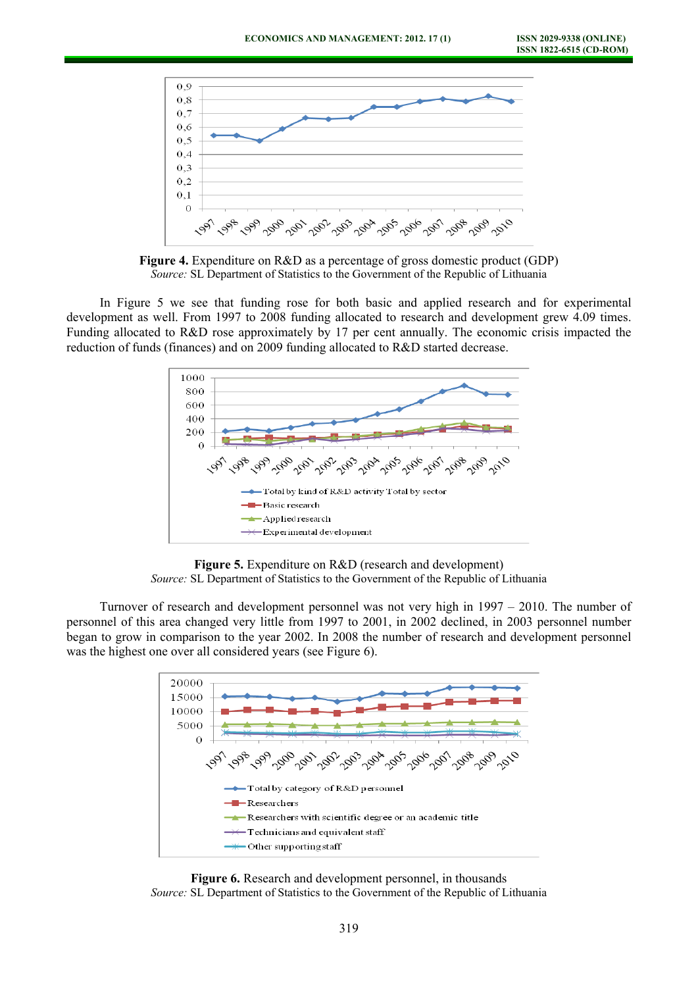

**Figure 4.** Expenditure on R&D as a percentage of gross domestic product (GDP) *Source:* SL Department of Statistics to the Government of the Republic of Lithuania

In Figure 5 we see that funding rose for both basic and applied research and for experimental development as well. From 1997 to 2008 funding allocated to research and development grew 4.09 times. Funding allocated to R&D rose approximately by 17 per cent annually. The economic crisis impacted the reduction of funds (finances) and on 2009 funding allocated to R&D started decrease.



**Figure 5.** Expenditure on R&D (research and development) *Source:* SL Department of Statistics to the Government of the Republic of Lithuania

Turnover of research and development personnel was not very high in 1997 – 2010. The number of personnel of this area changed very little from 1997 to 2001, in 2002 declined, in 2003 personnel number began to grow in comparison to the year 2002. In 2008 the number of research and development personnel was the highest one over all considered years (see Figure 6).



**Figure 6.** Research and development personnel, in thousands *Source:* SL Department of Statistics to the Government of the Republic of Lithuania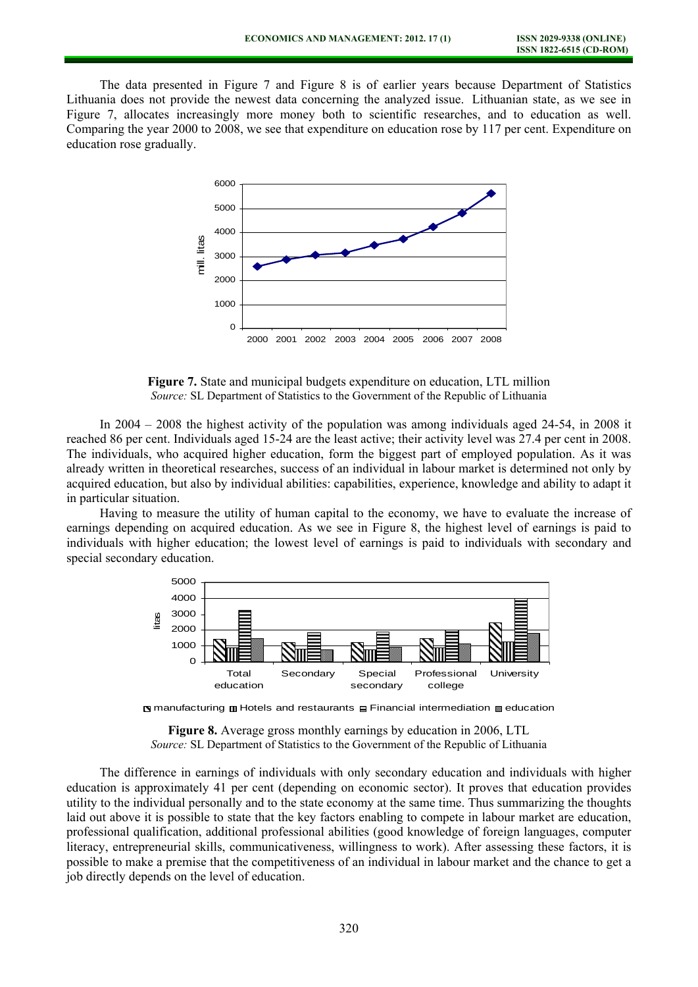The data presented in Figure 7 and Figure 8 is of earlier years because Department of Statistics Lithuania does not provide the newest data concerning the analyzed issue. Lithuanian state, as we see in Figure 7, allocates increasingly more money both to scientific researches, and to education as well. Comparing the year 2000 to 2008, we see that expenditure on education rose by 117 per cent. Expenditure on education rose gradually.



**Figure 7.** State and municipal budgets expenditure on education, LTL million *Source:* SL Department of Statistics to the Government of the Republic of Lithuania

In 2004 – 2008 the highest activity of the population was among individuals aged 24-54, in 2008 it reached 86 per cent. Individuals aged 15-24 are the least active; their activity level was 27.4 per cent in 2008. The individuals, who acquired higher education, form the biggest part of employed population. As it was already written in theoretical researches, success of an individual in labour market is determined not only by acquired education, but also by individual abilities: capabilities, experience, knowledge and ability to adapt it in particular situation.

Having to measure the utility of human capital to the economy, we have to evaluate the increase of earnings depending on acquired education. As we see in Figure 8, the highest level of earnings is paid to individuals with higher education; the lowest level of earnings is paid to individuals with secondary and special secondary education.



 $\Box$  manufacturing  $\Box$  Hotels and restaurants  $\Box$  Financial intermediation  $\Box$  education

**Figure 8.** Average gross monthly earnings by education in 2006, LTL *Source:* SL Department of Statistics to the Government of the Republic of Lithuania

The difference in earnings of individuals with only secondary education and individuals with higher education is approximately 41 per cent (depending on economic sector). It proves that education provides utility to the individual personally and to the state economy at the same time. Thus summarizing the thoughts laid out above it is possible to state that the key factors enabling to compete in labour market are education, professional qualification, additional professional abilities (good knowledge of foreign languages, computer literacy, entrepreneurial skills, communicativeness, willingness to work). After assessing these factors, it is possible to make a premise that the competitiveness of an individual in labour market and the chance to get a job directly depends on the level of education.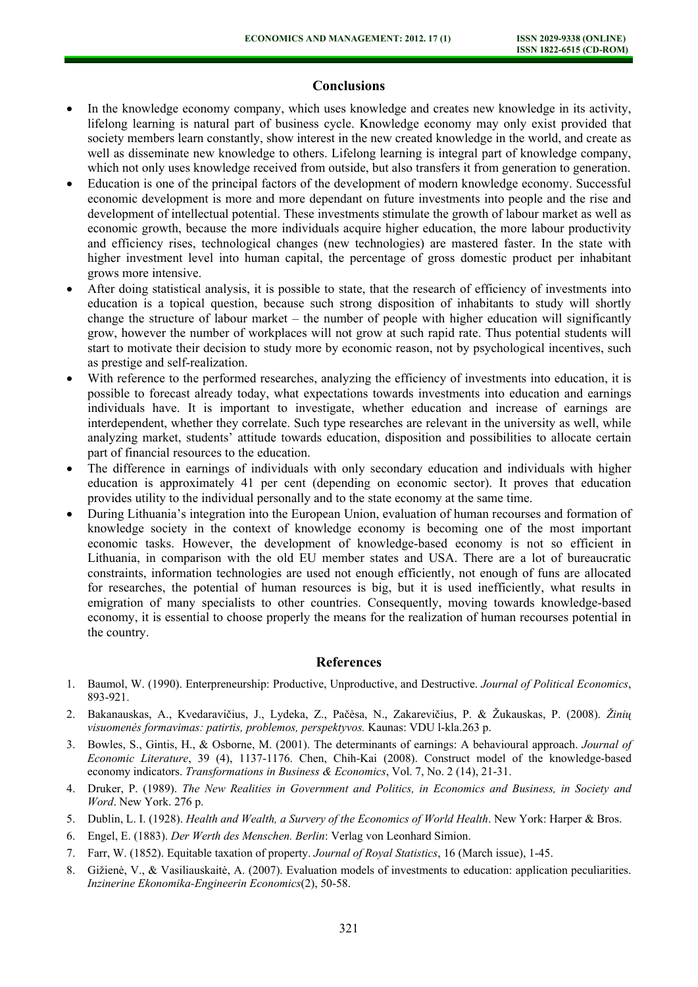## **Conclusions**

- In the knowledge economy company, which uses knowledge and creates new knowledge in its activity, lifelong learning is natural part of business cycle. Knowledge economy may only exist provided that society members learn constantly, show interest in the new created knowledge in the world, and create as well as disseminate new knowledge to others. Lifelong learning is integral part of knowledge company, which not only uses knowledge received from outside, but also transfers it from generation to generation.
- Education is one of the principal factors of the development of modern knowledge economy. Successful economic development is more and more dependant on future investments into people and the rise and development of intellectual potential. These investments stimulate the growth of labour market as well as economic growth, because the more individuals acquire higher education, the more labour productivity and efficiency rises, technological changes (new technologies) are mastered faster. In the state with higher investment level into human capital, the percentage of gross domestic product per inhabitant grows more intensive.
- After doing statistical analysis, it is possible to state, that the research of efficiency of investments into education is a topical question, because such strong disposition of inhabitants to study will shortly change the structure of labour market – the number of people with higher education will significantly grow, however the number of workplaces will not grow at such rapid rate. Thus potential students will start to motivate their decision to study more by economic reason, not by psychological incentives, such as prestige and self-realization.
- With reference to the performed researches, analyzing the efficiency of investments into education, it is possible to forecast already today, what expectations towards investments into education and earnings individuals have. It is important to investigate, whether education and increase of earnings are interdependent, whether they correlate. Such type researches are relevant in the university as well, while analyzing market, students' attitude towards education, disposition and possibilities to allocate certain part of financial resources to the education.
- The difference in earnings of individuals with only secondary education and individuals with higher education is approximately 41 per cent (depending on economic sector). It proves that education provides utility to the individual personally and to the state economy at the same time.
- During Lithuania's integration into the European Union, evaluation of human recourses and formation of knowledge society in the context of knowledge economy is becoming one of the most important economic tasks. However, the development of knowledge-based economy is not so efficient in Lithuania, in comparison with the old EU member states and USA. There are a lot of bureaucratic constraints, information technologies are used not enough efficiently, not enough of funs are allocated for researches, the potential of human resources is big, but it is used inefficiently, what results in emigration of many specialists to other countries. Consequently, moving towards knowledge-based economy, it is essential to choose properly the means for the realization of human recourses potential in the country.

## **References**

- 1. Baumol, W. (1990). Enterpreneurship: Productive, Unproductive, and Destructive. *Journal of Political Economics*, 893-921.
- 2. Bakanauskas, A., Kvedaravičius, J., Lydeka, Z., Pačėsa, N., Zakarevičius, P. & Žukauskas, P. (2008). *Žinių visuomenės formavimas: patirtis, problemos, perspektyvos.* Kaunas: VDU l-kla.263 p.
- 3. Bowles, S., Gintis, H., & Osborne, M. (2001). The determinants of earnings: A behavioural approach. *Journal of Economic Literature*, 39 (4), 1137-1176. Chen, Chih-Kai (2008). Construct model of the knowledge-based economy indicators. *Transformations in Business & Economics*, Vol. 7, No. 2 (14), 21-31.
- 4. Druker, P. (1989). *The New Realities in Government and Politics, in Economics and Business, in Society and Word*. New York. 276 p.
- 5. Dublin, L. I. (1928). *Health and Wealth, a Survery of the Economics of World Health*. New York: Harper & Bros.
- 6. Engel, E. (1883). *Der Werth des Menschen. Berlin*: Verlag von Leonhard Simion.
- 7. Farr, W. (1852). Equitable taxation of property. *Journal of Royal Statistics*, 16 (March issue), 1-45.
- 8. Gižienė, V., & Vasiliauskaitė, A. (2007). Evaluation models of investments to education: application peculiarities. *Inzinerine Ekonomika-Engineerin Economics*(2), 50-58.